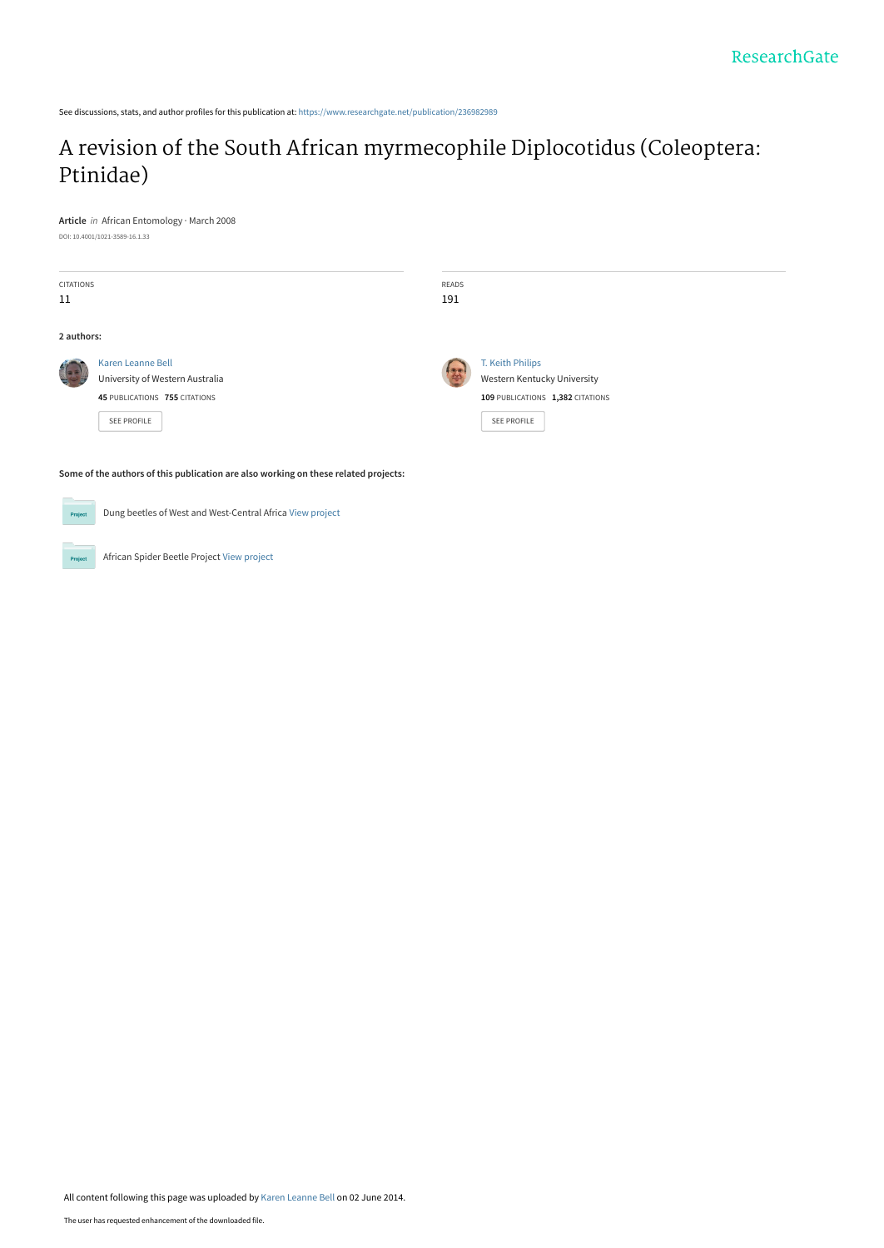See discussions, stats, and author profiles for this publication at: [https://www.researchgate.net/publication/236982989](https://www.researchgate.net/publication/236982989_A_revision_of_the_South_African_myrmecophile_Diplocotidus_Coleoptera_Ptinidae?enrichId=rgreq-17dee4f6dfce3fbeb2123845e457fd06-XXX&enrichSource=Y292ZXJQYWdlOzIzNjk4Mjk4OTtBUzoxMDM2Mjc5ODk0NTQ4NjBAMTQwMTcxODI0Njc2Mg%3D%3D&el=1_x_2&_esc=publicationCoverPdf)

# [A revision of the South African myrmecophile Diplocotidus \(Coleoptera:](https://www.researchgate.net/publication/236982989_A_revision_of_the_South_African_myrmecophile_Diplocotidus_Coleoptera_Ptinidae?enrichId=rgreq-17dee4f6dfce3fbeb2123845e457fd06-XXX&enrichSource=Y292ZXJQYWdlOzIzNjk4Mjk4OTtBUzoxMDM2Mjc5ODk0NTQ4NjBAMTQwMTcxODI0Njc2Mg%3D%3D&el=1_x_3&_esc=publicationCoverPdf) Ptinidae)

**Article** in African Entomology · March 2008 DOI: 10.4001/1021-3589-16.1.33

| <b>CITATIONS</b><br>11 |                                                                                                      | READS<br>191  |                                                                                                    |
|------------------------|------------------------------------------------------------------------------------------------------|---------------|----------------------------------------------------------------------------------------------------|
| 2 authors:             |                                                                                                      |               |                                                                                                    |
| $\frac{1}{2}$<br>÷.    | Karen Leanne Bell<br>University of Western Australia<br>45 PUBLICATIONS 755 CITATIONS<br>SEE PROFILE | $\frac{1}{2}$ | T. Keith Philips<br>Western Kentucky University<br>109 PUBLICATIONS 1,382 CITATIONS<br>SEE PROFILE |

**Some of the authors of this publication are also working on these related projects:**

Dung beetles of West and West-Central Africa [View project](https://www.researchgate.net/project/Dung-beetles-of-West-and-West-Central-Africa?enrichId=rgreq-17dee4f6dfce3fbeb2123845e457fd06-XXX&enrichSource=Y292ZXJQYWdlOzIzNjk4Mjk4OTtBUzoxMDM2Mjc5ODk0NTQ4NjBAMTQwMTcxODI0Njc2Mg%3D%3D&el=1_x_9&_esc=publicationCoverPdf)  $Pro$ 

African Spider Beetle Project [View project](https://www.researchgate.net/project/African-Spider-Beetle-Project?enrichId=rgreq-17dee4f6dfce3fbeb2123845e457fd06-XXX&enrichSource=Y292ZXJQYWdlOzIzNjk4Mjk4OTtBUzoxMDM2Mjc5ODk0NTQ4NjBAMTQwMTcxODI0Njc2Mg%3D%3D&el=1_x_9&_esc=publicationCoverPdf) **Project**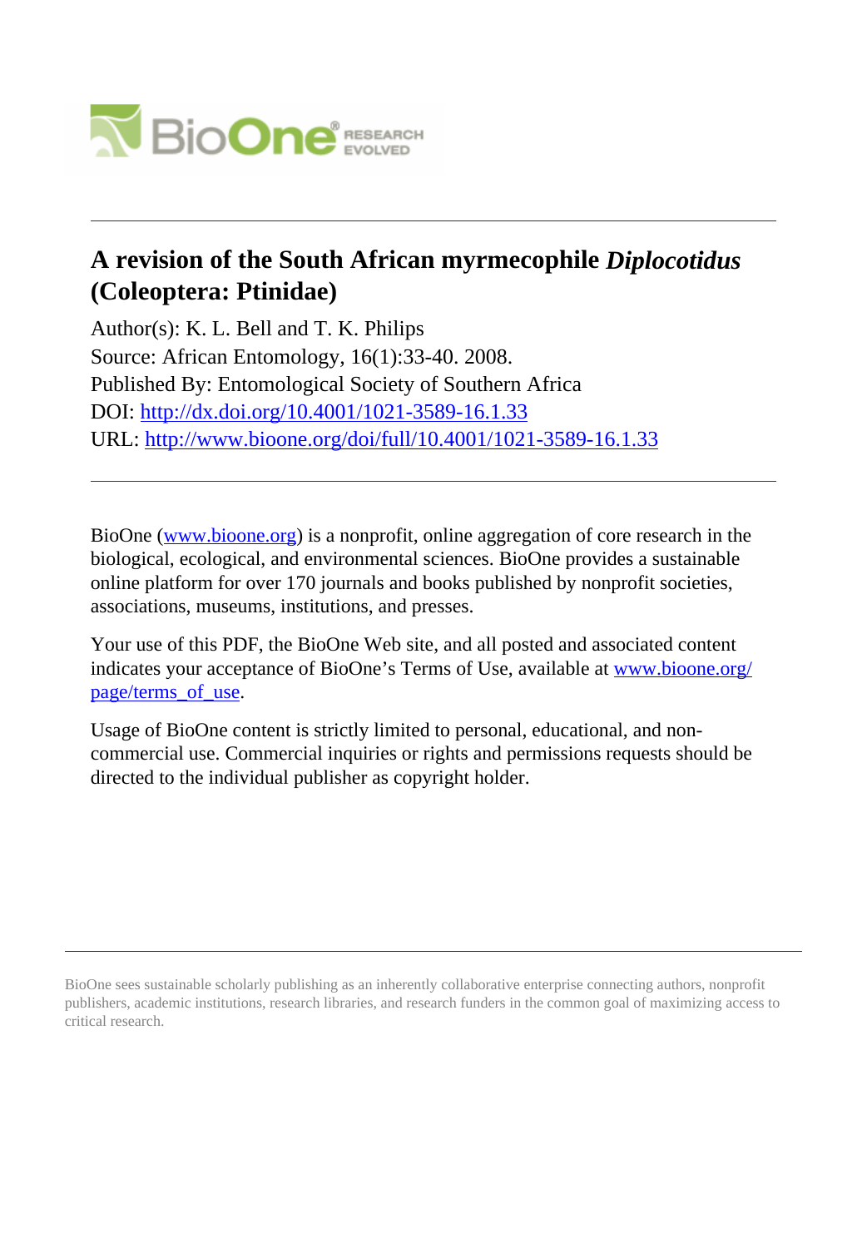

# **A revision of the South African myrmecophile** *Diplocotidus* **(Coleoptera: Ptinidae)**

Author(s): K. L. Bell and T. K. Philips Source: African Entomology, 16(1):33-40. 2008. Published By: Entomological Society of Southern Africa DOI:<http://dx.doi.org/10.4001/1021-3589-16.1.33> URL: <http://www.bioone.org/doi/full/10.4001/1021-3589-16.1.33>

BioOne [\(www.bioone.org\)](http://www.bioone.org) is a nonprofit, online aggregation of core research in the biological, ecological, and environmental sciences. BioOne provides a sustainable online platform for over 170 journals and books published by nonprofit societies, associations, museums, institutions, and presses.

Your use of this PDF, the BioOne Web site, and all posted and associated content indicates your acceptance of BioOne's Terms of Use, available at [www.bioone.org/](http://www.bioone.org/page/terms_of_use) [page/terms\\_of\\_use](http://www.bioone.org/page/terms_of_use).

Usage of BioOne content is strictly limited to personal, educational, and noncommercial use. Commercial inquiries or rights and permissions requests should be directed to the individual publisher as copyright holder.

BioOne sees sustainable scholarly publishing as an inherently collaborative enterprise connecting authors, nonprofit publishers, academic institutions, research libraries, and research funders in the common goal of maximizing access to critical research.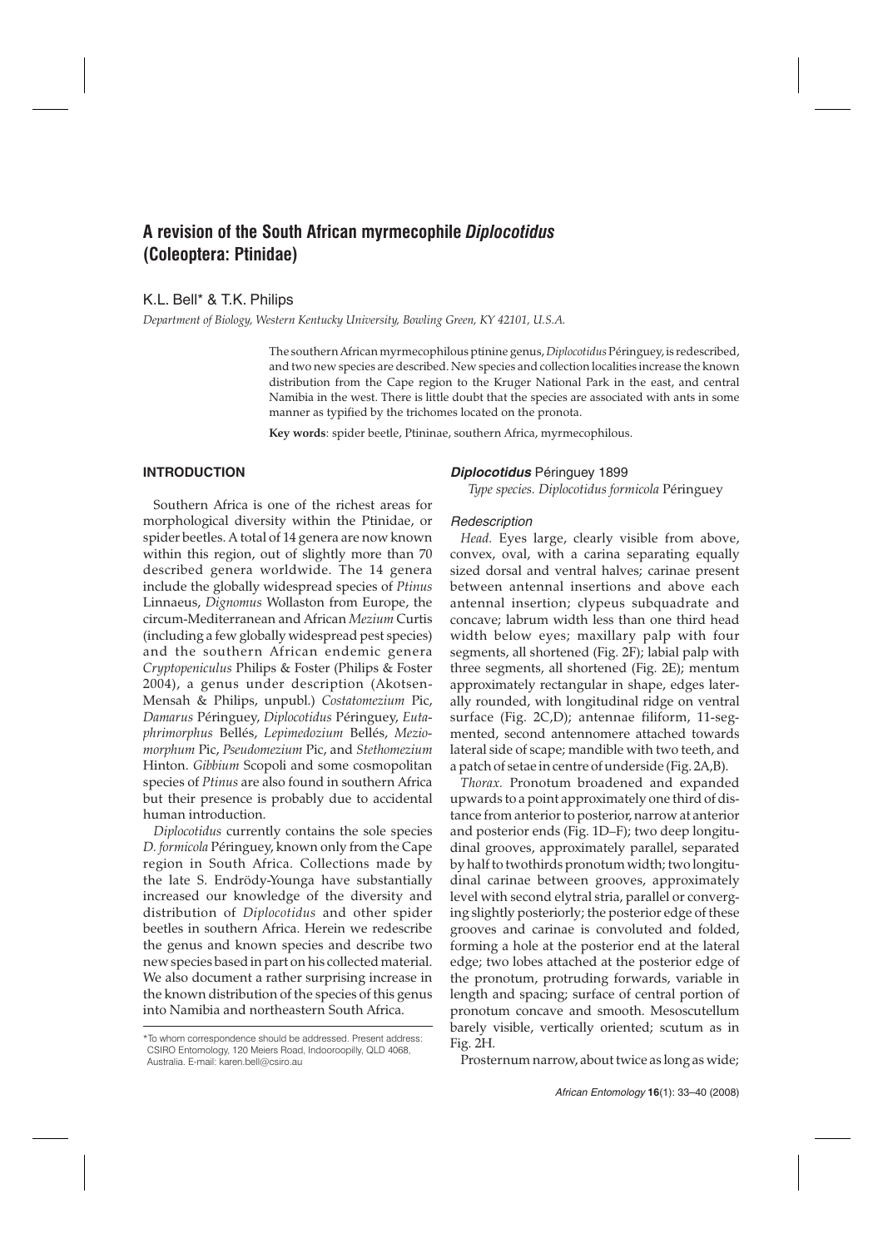# **A revision of the South African myrmecophile** *Diplocotidus* **(Coleoptera: Ptinidae)**

K.L. Bell\* & T.K. Philips

*Department of Biology, Western Kentucky University, Bowling Green, KY 42101, U.S.A.*

The southern African myrmecophilous ptinine genus,*Diplocotidus*Péringuey, is redescribed, and two new species are described. New species and collection localities increase the known distribution from the Cape region to the Kruger National Park in the east, and central Namibia in the west. There is little doubt that the species are associated with ants in some manner as typified by the trichomes located on the pronota.

**Key words**: spider beetle, Ptininae, southern Africa, myrmecophilous.

### **INTRODUCTION**

Southern Africa is one of the richest areas for morphological diversity within the Ptinidae, or spider beetles. A total of 14 genera are now known within this region, out of slightly more than 70 described genera worldwide. The 14 genera include the globally widespread species of *Ptinus* Linnaeus, *Dignomus* Wollaston from Europe, the circum-Mediterranean and African *Mezium* Curtis (including a few globally widespread pest species) and the southern African endemic genera *Cryptopeniculus* Philips & Foster (Philips & Foster 2004), a genus under description (Akotsen-Mensah & Philips, unpubl.) *Costatomezium* Pic, *Damarus* Péringuey, *Diplocotidus* Péringuey, *Eutaphrimorphus* Bellés, *Lepimedozium* Bellés, *Meziomorphum* Pic, *Pseudomezium* Pic, and *Stethomezium* Hinton. *Gibbium* Scopoli and some cosmopolitan species of *Ptinus* are also found in southern Africa but their presence is probably due to accidental human introduction.

*Diplocotidus* currently contains the sole species *D. formicola* Péringuey, known only from the Cape region in South Africa. Collections made by the late S. Endrödy-Younga have substantially increased our knowledge of the diversity and distribution of *Diplocotidus* and other spider beetles in southern Africa. Herein we redescribe the genus and known species and describe two new species based in part on his collected material. We also document a rather surprising increase in the known distribution of the species of this genus into Namibia and northeastern South Africa.

#### **Diplocotidus** Péringuey 1899

*Type species. Diplocotidus formicola* Péringuey

#### **Redescription**

*Head.* Eyes large, clearly visible from above, convex, oval, with a carina separating equally sized dorsal and ventral halves; carinae present between antennal insertions and above each antennal insertion; clypeus subquadrate and concave; labrum width less than one third head width below eyes; maxillary palp with four segments, all shortened (Fig. 2F); labial palp with three segments, all shortened (Fig. 2E); mentum approximately rectangular in shape, edges laterally rounded, with longitudinal ridge on ventral surface (Fig. 2C,D); antennae filiform, 11-segmented, second antennomere attached towards lateral side of scape; mandible with two teeth, and a patch of setae in centre of underside (Fig. 2A,B).

*Thorax.* Pronotum broadened and expanded upwards to a point approximately one third of distance from anterior to posterior, narrow at anterior and posterior ends (Fig. 1D–F); two deep longitudinal grooves, approximately parallel, separated by half to twothirds pronotum width; two longitudinal carinae between grooves, approximately level with second elytral stria, parallel or converging slightly posteriorly; the posterior edge of these grooves and carinae is convoluted and folded, forming a hole at the posterior end at the lateral edge; two lobes attached at the posterior edge of the pronotum, protruding forwards, variable in length and spacing; surface of central portion of pronotum concave and smooth. Mesoscutellum barely visible, vertically oriented; scutum as in Fig. 2H.

Prosternum narrow, about twice as long as wide;

<sup>\*</sup>To whom correspondence should be addressed. Present address: CSIRO Entomology, 120 Meiers Road, Indooroopilly, QLD 4068, Australia. E-mail: karen.bell@csiro.au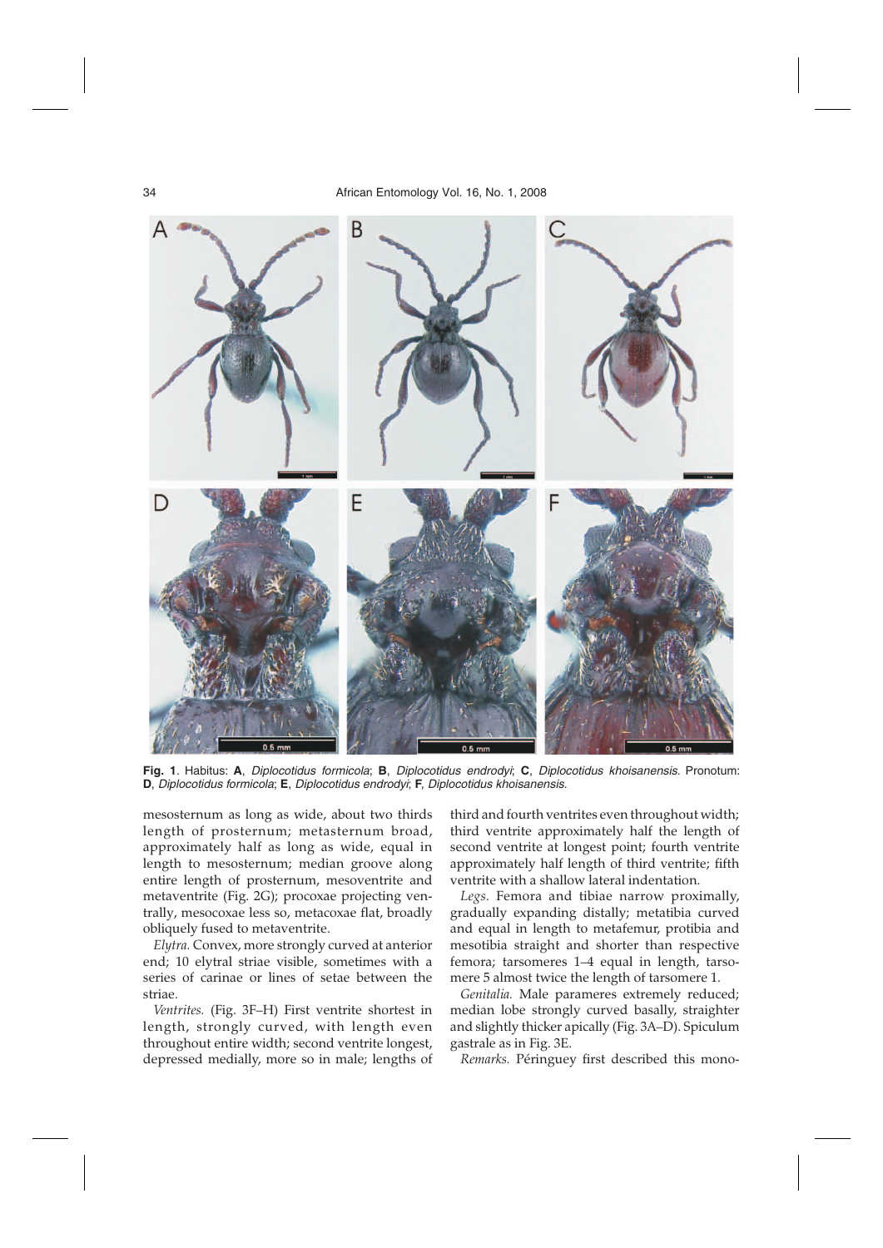

**Fig. 1**. Habitus: **A**, Diplocotidus formicola; **B**, Diplocotidus endrodyi; **C**, Diplocotidus khoisanensis. Pronotum: **D**, Diplocotidus formicola; **E**, Diplocotidus endrodyi; **F**, Diplocotidus khoisanensis.

mesosternum as long as wide, about two thirds length of prosternum; metasternum broad, approximately half as long as wide, equal in length to mesosternum; median groove along entire length of prosternum, mesoventrite and metaventrite (Fig. 2G); procoxae projecting ventrally, mesocoxae less so, metacoxae flat, broadly obliquely fused to metaventrite.

*Elytra.* Convex, more strongly curved at anterior end; 10 elytral striae visible, sometimes with a series of carinae or lines of setae between the striae.

*Ventrites.* (Fig. 3F–H) First ventrite shortest in length, strongly curved, with length even throughout entire width; second ventrite longest, depressed medially, more so in male; lengths of third and fourth ventrites even throughout width; third ventrite approximately half the length of second ventrite at longest point; fourth ventrite approximately half length of third ventrite; fifth ventrite with a shallow lateral indentation.

*Legs.* Femora and tibiae narrow proximally, gradually expanding distally; metatibia curved and equal in length to metafemur, protibia and mesotibia straight and shorter than respective femora; tarsomeres 1–4 equal in length, tarsomere 5 almost twice the length of tarsomere 1.

*Genitalia.* Male parameres extremely reduced; median lobe strongly curved basally, straighter and slightly thicker apically (Fig. 3A–D). Spiculum gastrale as in Fig. 3E.

*Remarks.* Péringuey first described this mono-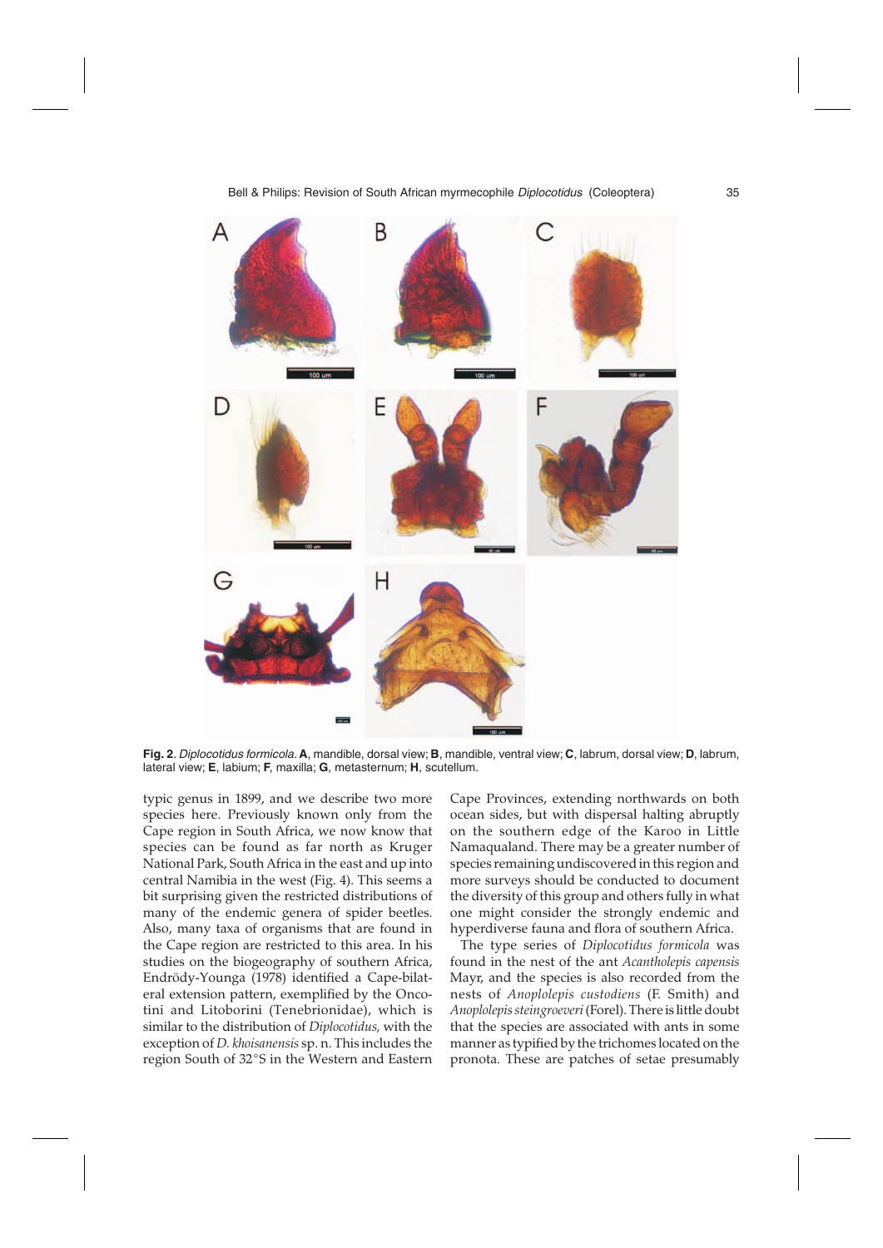

**Fig. 2**. Diplocotidus formicola. **A**, mandible, dorsal view; **B**, mandible, ventral view; **C**, labrum, dorsal view; **D**, labrum, lateral view; **E**, labium; **F**, maxilla; **G**, metasternum; **H**, scutellum.

typic genus in 1899, and we describe two more species here. Previously known only from the Cape region in South Africa, we now know that species can be found as far north as Kruger National Park, South Africa in the east and up into central Namibia in the west (Fig. 4). This seems a bit surprising given the restricted distributions of many of the endemic genera of spider beetles. Also, many taxa of organisms that are found in the Cape region are restricted to this area. In his studies on the biogeography of southern Africa, Endrödy-Younga (1978) identified a Cape-bilateral extension pattern, exemplified by the Oncotini and Litoborini (Tenebrionidae), which is similar to the distribution of *Diplocotidus,* with the similar to the distribution of *Deplocutius*, which the<br>exception of *D. khoisanensis* sp. n. This includes the<br>region South of 32°S in the Western and Eastern region South of 32°S in the Western and Eastern Cape Provinces, extending northwards on both ocean sides, but with dispersal halting abruptly on the southern edge of the Karoo in Little Namaqualand. There may be a greater number of species remaining undiscovered in this region and more surveys should be conducted to document the diversity of this group and others fully in what one might consider the strongly endemic and hyperdiverse fauna and flora of southern Africa.

The type series of *Diplocotidus formicola* was found in the nest of the ant *Acantholepis capensis* Mayr, and the species is also recorded from the nests of *Anoplolepis custodiens* (F. Smith) and *Anoplolepis steingroeveri*(Forel). There is little doubt that the species are associated with ants in some manner as typified by the trichomes located on the pronota. These are patches of setae presumably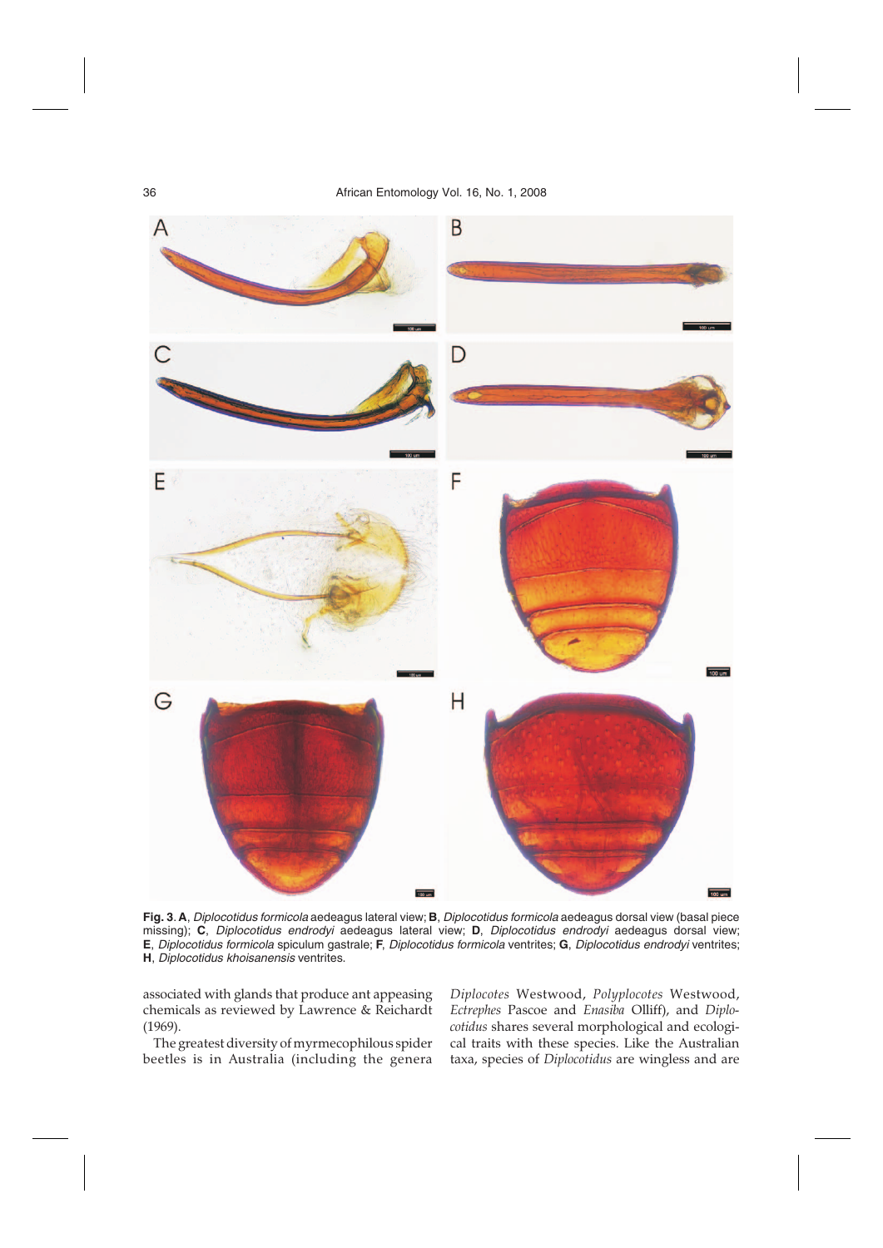

**Fig. 3**. **A**, Diplocotidus formicola aedeagus lateral view; **B**, Diplocotidus formicola aedeagus dorsal view (basal piece missing); **C**, Diplocotidus endrodyi aedeagus lateral view; **D**, Diplocotidus endrodyi aedeagus dorsal view; **E**, Diplocotidus formicola spiculum gastrale; **F**, Diplocotidus formicola ventrites; **G**, Diplocotidus endrodyi ventrites; **H**, Diplocotidus khoisanensis ventrites.

associated with glands that produce ant appeasing chemicals as reviewed by Lawrence & Reichardt (1969).

The greatest diversity of myrmecophilous spider beetles is in Australia (including the genera *Diplocotes* Westwood, *Polyplocotes* Westwood, *Ectrephes* Pascoe and *Enasiba* Olliff), and *Diplocotidus* shares several morphological and ecological traits with these species. Like the Australian taxa, species of *Diplocotidus* are wingless and are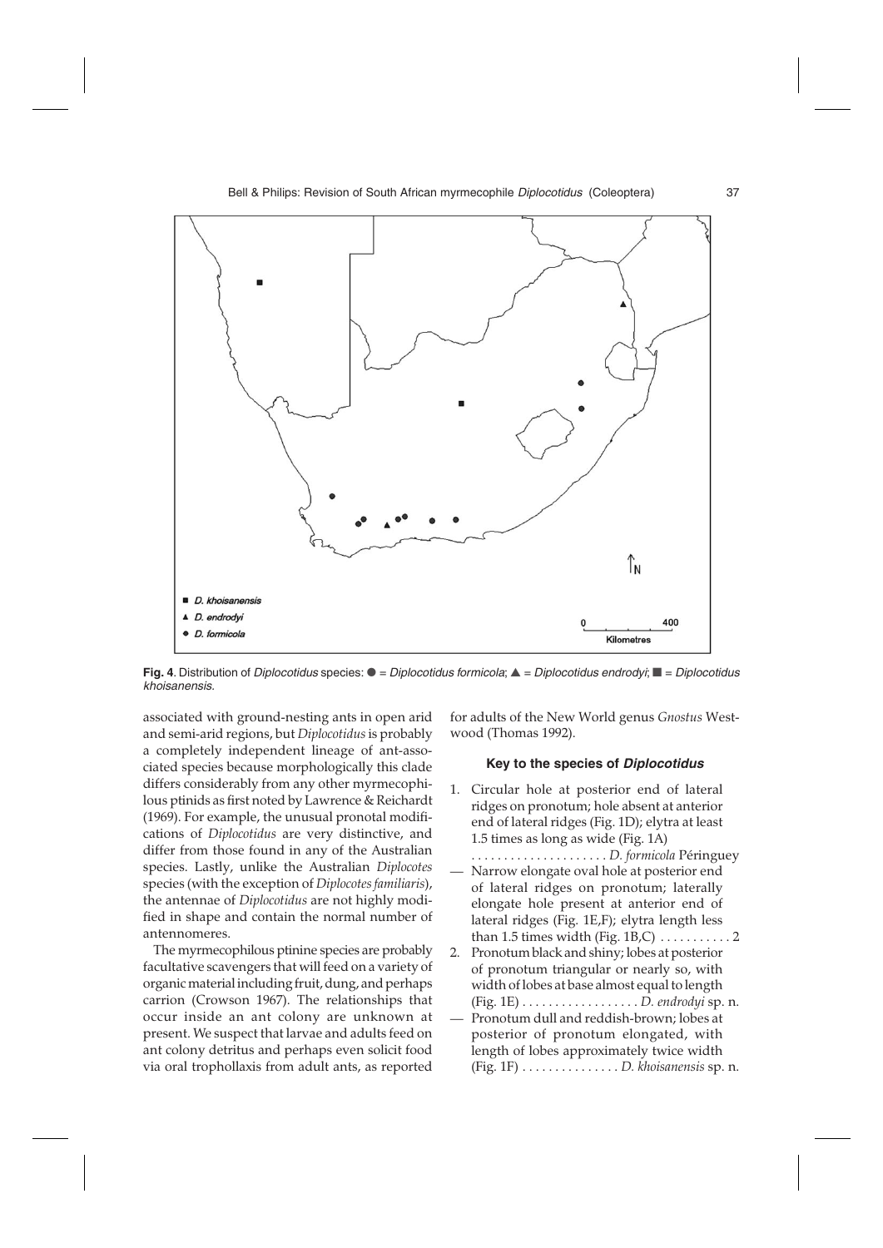

Fig. 4. Distribution of *Diplocotidus* species: ● = Diplocotidus formicola; ▲ = Diplocotidus endrodyi; ■ = Diplocotidus khoisanensis.

associated with ground-nesting ants in open arid and semi-arid regions, but *Diplocotidus*is probably a completely independent lineage of ant-associated species because morphologically this clade differs considerably from any other myrmecophilous ptinids as first noted by Lawrence & Reichardt (1969). For example, the unusual pronotal modifications of *Diplocotidus* are very distinctive, and differ from those found in any of the Australian species. Lastly, unlike the Australian *Diplocotes* species (with the exception of *Diplocotes familiaris*), the antennae of *Diplocotidus* are not highly modified in shape and contain the normal number of antennomeres.

The myrmecophilous ptinine species are probably facultative scavengers that will feed on a variety of organic material including fruit, dung, and perhaps carrion (Crowson 1967). The relationships that occur inside an ant colony are unknown at present. We suspect that larvae and adults feed on ant colony detritus and perhaps even solicit food via oral trophollaxis from adult ants, as reported for adults of the New World genus *Gnostus* Westwood (Thomas 1992).

#### **Key to the species of Diplocotidus**

- 1. Circular hole at posterior end of lateral ridges on pronotum; hole absent at anterior end of lateral ridges (Fig. 1D); elytra at least 1.5 times as long as wide (Fig. 1A) . . . . . . . . . . . . . . . . . . . . . *D. formicola* Péringuey
- Narrow elongate oval hole at posterior end of lateral ridges on pronotum; laterally elongate hole present at anterior end of lateral ridges (Fig. 1E,F); elytra length less than 1.5 times width (Fig.  $1B,C$ )  $\ldots \ldots \ldots 2$
- 2. Pronotum black and shiny; lobes at posterior of pronotum triangular or nearly so, with width of lobes at base almost equal to length (Fig. 1E) . . . . . . . . . . . . . . . . . . *D. endrodyi* sp. n.
- Pronotum dull and reddish-brown; lobes at posterior of pronotum elongated, with length of lobes approximately twice width (Fig. 1F) . . . . . . . . . . . . . . . *D. khoisanensis* sp. n.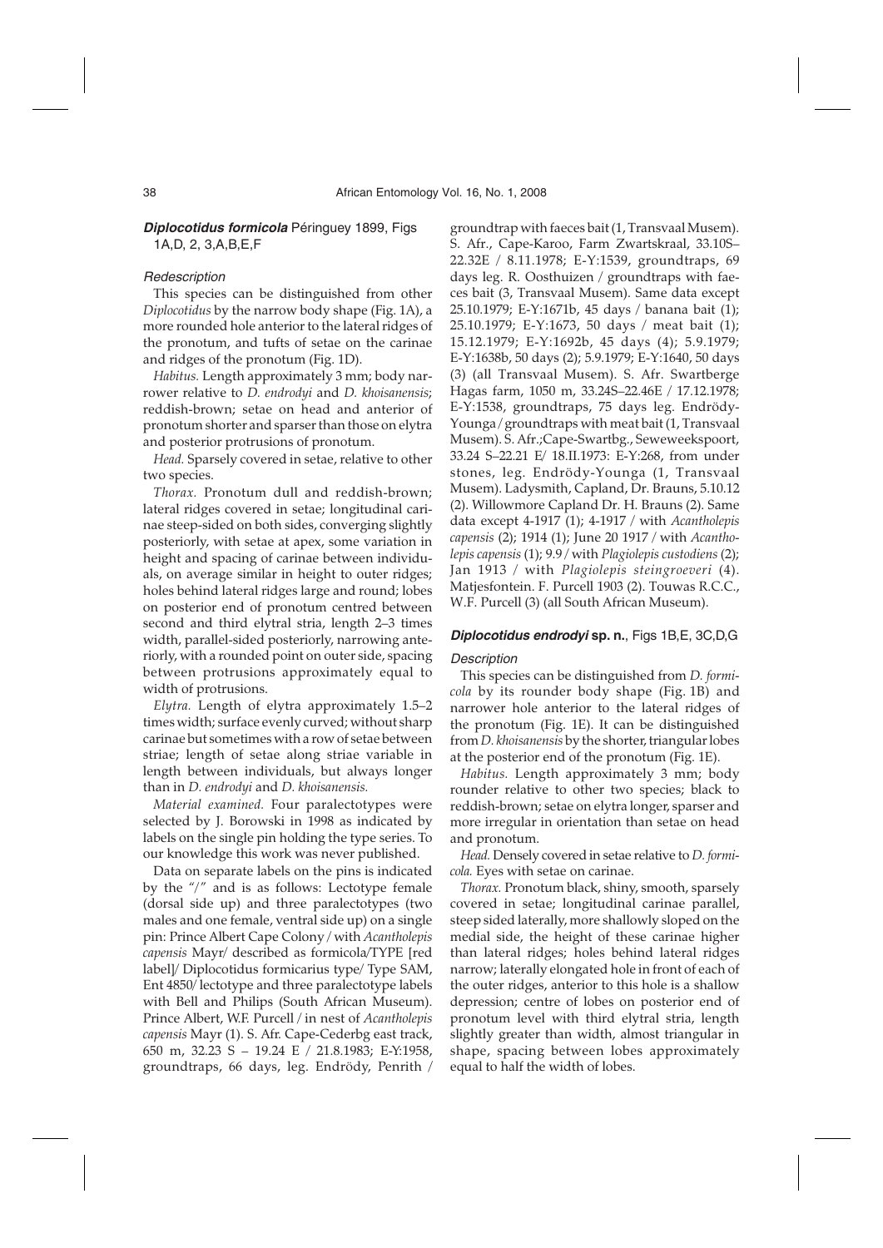## **Diplocotidus formicola** Péringuey 1899, Figs 1A,D, 2, 3,A,B,E,F

#### **Redescription**

This species can be distinguished from other *Diplocotidus* by the narrow body shape (Fig. 1A), a more rounded hole anterior to the lateral ridges of the pronotum, and tufts of setae on the carinae and ridges of the pronotum (Fig. 1D).

*Habitus.* Length approximately 3 mm; body narrower relative to *D. endrodyi* and *D. khoisanensis*; reddish-brown; setae on head and anterior of pronotum shorter and sparser than those on elytra and posterior protrusions of pronotum.

*Head.* Sparsely covered in setae, relative to other two species.

*Thorax.* Pronotum dull and reddish-brown; lateral ridges covered in setae; longitudinal carinae steep-sided on both sides, converging slightly posteriorly, with setae at apex, some variation in height and spacing of carinae between individuals, on average similar in height to outer ridges; holes behind lateral ridges large and round; lobes on posterior end of pronotum centred between second and third elytral stria, length 2–3 times width, parallel-sided posteriorly, narrowing anteriorly, with a rounded point on outer side, spacing between protrusions approximately equal to width of protrusions.

*Elytra.* Length of elytra approximately 1.5–2 times width; surface evenly curved; without sharp carinae but sometimes with a row of setae between striae; length of setae along striae variable in length between individuals, but always longer than in *D. endrodyi* and *D. khoisanensis.*

*Material examined.* Four paralectotypes were selected by J. Borowski in 1998 as indicated by labels on the single pin holding the type series. To our knowledge this work was never published.

Data on separate labels on the pins is indicated by the  $\frac{m}{2}$  and is as follows: Lectotype female (dorsal side up) and three paralectotypes (two males and one female, ventral side up) on a single pin: Prince Albert Cape Colony / with *Acantholepis capensis* Mayr/ described as formicola/TYPE [red label]/ Diplocotidus formicarius type/ Type SAM, Ent 4850/ lectotype and three paralectotype labels with Bell and Philips (South African Museum). Prince Albert, W.F. Purcell / in nest of *Acantholepis capensis* Mayr (1). S. Afr. Cape-Cederbg east track, 650 m, 32.23 S – 19.24 E / 21.8.1983; E-Y:1958, groundtraps, 66 days, leg. Endrödy, Penrith / groundtrap with faeces bait (1, Transvaal Musem). S. Afr., Cape-Karoo, Farm Zwartskraal, 33.10S– 22.32E / 8.11.1978; E-Y:1539, groundtraps, 69 days leg. R. Oosthuizen / groundtraps with faeces bait (3, Transvaal Musem). Same data except 25.10.1979; E-Y:1671b, 45 days / banana bait (1); 25.10.1979; E-Y:1673, 50 days / meat bait (1); 15.12.1979; E-Y:1692b, 45 days (4); 5.9.1979; E-Y:1638b, 50 days (2); 5.9.1979; E-Y:1640, 50 days (3) (all Transvaal Musem). S. Afr. Swartberge Hagas farm, 1050 m, 33.24S–22.46E / 17.12.1978; E-Y:1538, groundtraps, 75 days leg. Endrödy-Younga / groundtraps with meat bait (1, Transvaal Musem). S. Afr.;Cape-Swartbg., Seweweekspoort, 33.24 S–22.21 E/ 18.II.1973: E-Y:268, from under stones, leg. Endrödy-Younga (1, Transvaal Musem). Ladysmith, Capland, Dr. Brauns, 5.10.12 (2). Willowmore Capland Dr. H. Brauns (2). Same data except 4-1917 (1); 4-1917 / with *Acantholepis capensis* (2); 1914 (1); June 20 1917 / with *Acantholepis capensis* (1); 9.9 / with *Plagiolepis custodiens* (2); Jan 1913 / with *Plagiolepis steingroeveri* (4). Matjesfontein. F. Purcell 1903 (2). Touwas R.C.C., W.F. Purcell (3) (all South African Museum).

### **Diplocotidus endrodyi sp. n.**, Figs 1B,E, 3C,D,G

#### **Description**

This species can be distinguished from *D. formicola* by its rounder body shape (Fig. 1B) and narrower hole anterior to the lateral ridges of the pronotum (Fig. 1E). It can be distinguished from *D. khoisanensis* by the shorter, triangular lobes at the posterior end of the pronotum (Fig. 1E).

*Habitus.* Length approximately 3 mm; body rounder relative to other two species; black to reddish-brown; setae on elytra longer, sparser and more irregular in orientation than setae on head and pronotum.

*Head.* Densely covered in setae relative to *D. formicola.* Eyes with setae on carinae.

*Thorax.* Pronotum black, shiny, smooth, sparsely covered in setae; longitudinal carinae parallel, steep sided laterally, more shallowly sloped on the medial side, the height of these carinae higher than lateral ridges; holes behind lateral ridges narrow; laterally elongated hole in front of each of the outer ridges, anterior to this hole is a shallow depression; centre of lobes on posterior end of pronotum level with third elytral stria, length slightly greater than width, almost triangular in shape, spacing between lobes approximately equal to half the width of lobes.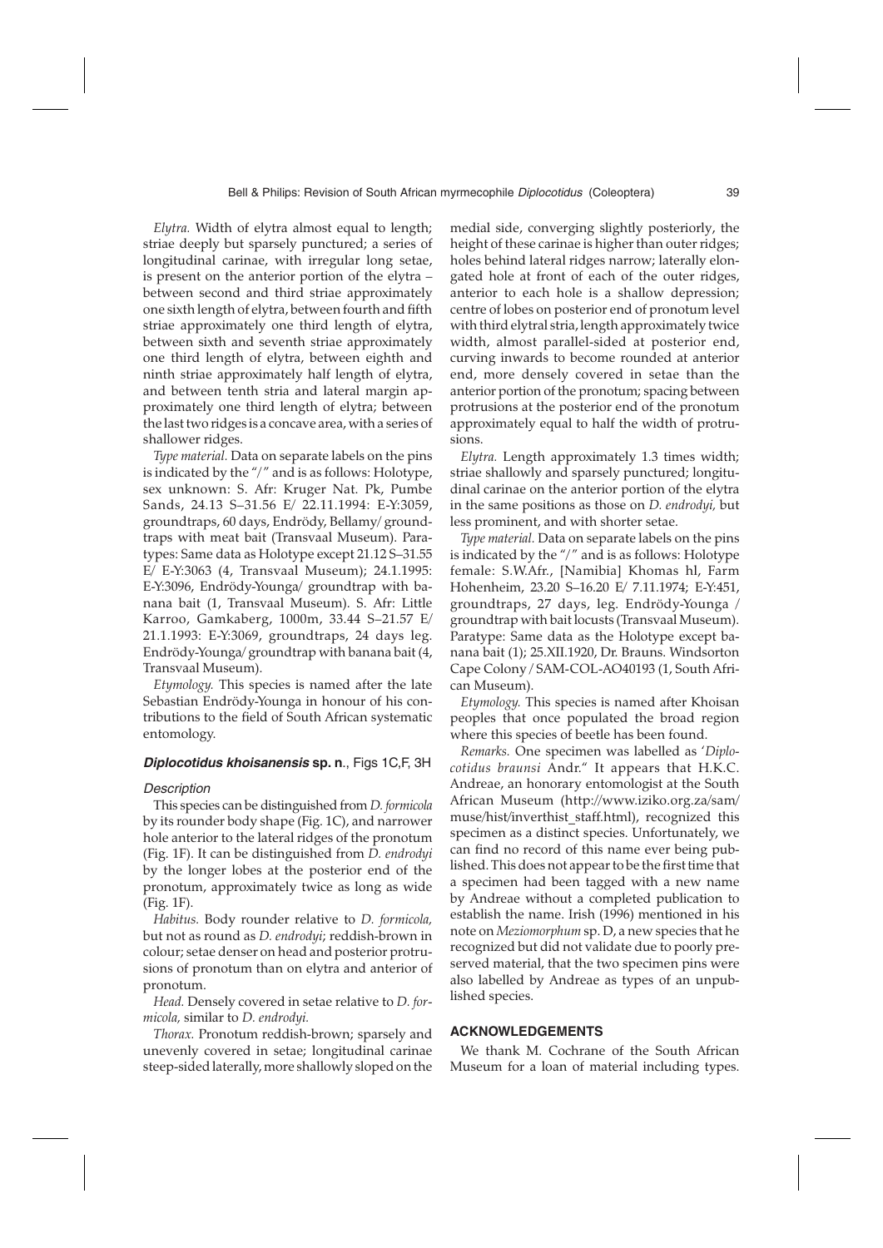*Elytra.* Width of elytra almost equal to length; striae deeply but sparsely punctured; a series of longitudinal carinae, with irregular long setae, is present on the anterior portion of the elytra – between second and third striae approximately one sixth length of elytra, between fourth and fifth striae approximately one third length of elytra, between sixth and seventh striae approximately one third length of elytra, between eighth and ninth striae approximately half length of elytra, and between tenth stria and lateral margin approximately one third length of elytra; between the last two ridges is a concave area, with a series of shallower ridges.

*Type material.* Data on separate labels on the pins is indicated by the "/" and is as follows: Holotype, sex unknown: S. Afr: Kruger Nat. Pk, Pumbe Sands, 24.13 S–31.56 E/ 22.11.1994: E-Y:3059, groundtraps, 60 days, Endrödy, Bellamy/ groundtraps with meat bait (Transvaal Museum). Paratypes: Same data as Holotype except 21.12 S–31.55 E/ E-Y:3063 (4, Transvaal Museum); 24.1.1995: E-Y:3096, Endrödy-Younga/ groundtrap with banana bait (1, Transvaal Museum). S. Afr: Little Karroo, Gamkaberg, 1000m, 33.44 S–21.57 E/ 21.1.1993: E-Y:3069, groundtraps, 24 days leg. Endrödy-Younga/ groundtrap with banana bait (4, Transvaal Museum).

*Etymology.* This species is named after the late Sebastian Endrödy-Younga in honour of his contributions to the field of South African systematic entomology.

#### **Diplocotidus khoisanensis sp. n**., Figs 1C,F, 3H

#### **Description**

This species can be distinguished from *D. formicola* by its rounder body shape (Fig. 1C), and narrower hole anterior to the lateral ridges of the pronotum (Fig. 1F). It can be distinguished from *D. endrodyi* by the longer lobes at the posterior end of the pronotum, approximately twice as long as wide (Fig. 1F).

*Habitus.* Body rounder relative to *D. formicola,* but not as round as *D. endrodyi*; reddish-brown in colour; setae denser on head and posterior protrusions of pronotum than on elytra and anterior of pronotum.

*Head.* Densely covered in setae relative to *D. formicola,* similar to *D. endrodyi.*

*Thorax.* Pronotum reddish-brown; sparsely and unevenly covered in setae; longitudinal carinae steep-sided laterally, more shallowly sloped on the

medial side, converging slightly posteriorly, the height of these carinae is higher than outer ridges; holes behind lateral ridges narrow; laterally elongated hole at front of each of the outer ridges, anterior to each hole is a shallow depression; centre of lobes on posterior end of pronotum level with third elytral stria, length approximately twice width, almost parallel-sided at posterior end, curving inwards to become rounded at anterior end, more densely covered in setae than the anterior portion of the pronotum; spacing between protrusions at the posterior end of the pronotum approximately equal to half the width of protrusions.

*Elytra.* Length approximately 1.3 times width; striae shallowly and sparsely punctured; longitudinal carinae on the anterior portion of the elytra in the same positions as those on *D. endrodyi,* but less prominent, and with shorter setae.

*Type material.* Data on separate labels on the pins is indicated by the "/" and is as follows: Holotype female: S.W.Afr., [Namibia] Khomas hl, Farm Hohenheim, 23.20 S–16.20 E/ 7.11.1974; E-Y:451, groundtraps, 27 days, leg. Endrödy-Younga / groundtrap with bait locusts (Transvaal Museum). Paratype: Same data as the Holotype except banana bait (1); 25.XII.1920, Dr. Brauns. Windsorton Cape Colony / SAM-COL-AO40193 (1, South African Museum).

*Etymology.* This species is named after Khoisan peoples that once populated the broad region where this species of beetle has been found.

*Remarks.* One specimen was labelled as '*Diplocotidus braunsi* Andr." It appears that H.K.C. Andreae, an honorary entomologist at the South African Museum (http://www.iziko.org.za/sam/ muse/hist/inverthist\_staff.html), recognized this specimen as a distinct species. Unfortunately, we can find no record of this name ever being published. This does not appear to be the first time that a specimen had been tagged with a new name by Andreae without a completed publication to establish the name. Irish (1996) mentioned in his note on *Meziomorphum* sp. D, a new species that he recognized but did not validate due to poorly preserved material, that the two specimen pins were also labelled by Andreae as types of an unpublished species.

#### **ACKNOWLEDGEMENTS**

We thank M. Cochrane of the South African Museum for a loan of material including types.